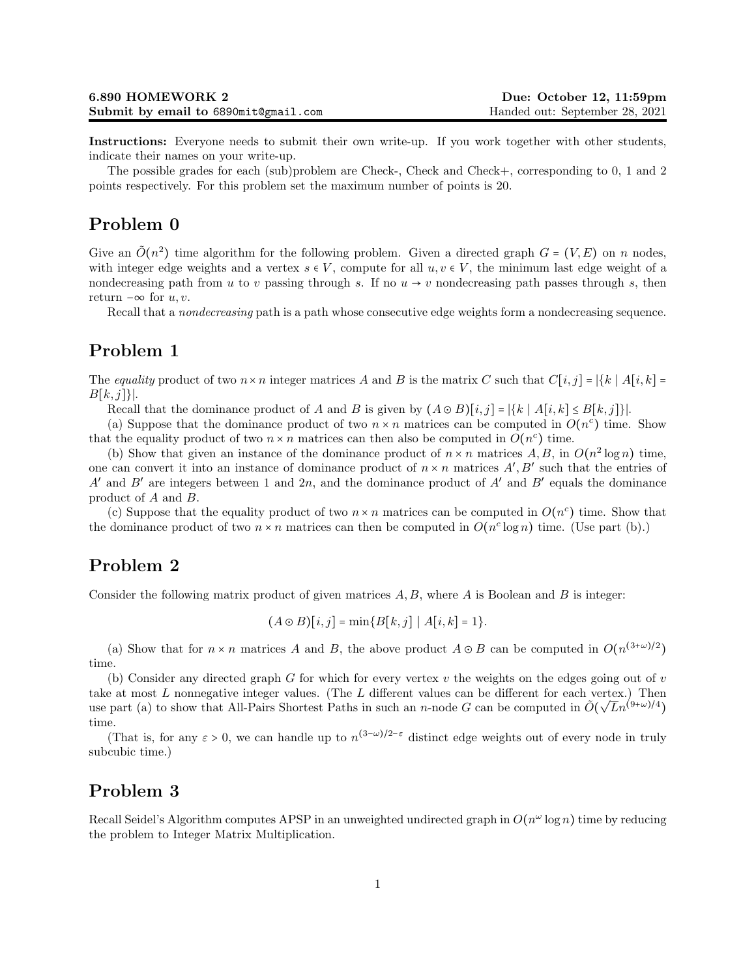Instructions: Everyone needs to submit their own write-up. If you work together with other students, indicate their names on your write-up.

The possible grades for each (sub)problem are Check-, Check and Check+, corresponding to 0, 1 and 2 points respectively. For this problem set the maximum number of points is 20.

## Problem 0

Give an  $\tilde{O}(n^2)$  time algorithm for the following problem. Given a directed graph  $G = (V, E)$  on n nodes, with integer edge weights and a vertex  $s \in V$ , compute for all  $u, v \in V$ , the minimum last edge weight of a nondecreasing path from u to v passing through s. If no  $u \rightarrow v$  nondecreasing path passes through s, then return  $-\infty$  for  $u, v$ .

Recall that a nondecreasing path is a path whose consecutive edge weights form a nondecreasing sequence.

# Problem 1

The equality product of two  $n \times n$  integer matrices A and B is the matrix C such that  $C[i, j] = |\{k \mid A[i, k] =$  $B[k, j]\}.$ 

Recall that the dominance product of A and B is given by  $(A \odot B)[i, j] = |\{k \mid A[i, k] \leq B[k, j]\}|.$ 

(a) Suppose that the dominance product of two  $n \times n$  matrices can be computed in  $O(n^c)$  time. Show that the equality product of two  $n \times n$  matrices can then also be computed in  $O(n^c)$  time.

(b) Show that given an instance of the dominance product of  $n \times n$  matrices  $A, B$ , in  $O(n^2 \log n)$  time, one can convert it into an instance of dominance product of  $n \times n$  matrices  $A', B'$  such that the entries of A' and B' are integers between 1 and 2n, and the dominance product of A' and B' equals the dominance product of A and B.

(c) Suppose that the equality product of two  $n \times n$  matrices can be computed in  $O(n^c)$  time. Show that the dominance product of two  $n \times n$  matrices can then be computed in  $O(n^c \log n)$  time. (Use part (b).)

## Problem 2

Consider the following matrix product of given matrices  $A, B$ , where  $A$  is Boolean and  $B$  is integer:

$$
(A \odot B)[i, j] = min{B[k, j] | A[i, k] = 1}.
$$

(a) Show that for  $n \times n$  matrices A and B, the above product  $A \odot B$  can be computed in  $O(n^{(3+\omega)/2})$ time.

(b) Consider any directed graph G for which for every vertex  $v$  the weights on the edges going out of  $v$ take at most L nonnegative integer values. (The L different values can be different for each vertex.) Then use part (a) to show that All-Pairs Shortest Paths in such an n-node G can be computed in  $\tilde{O}(\sqrt{L}n^{(9+\omega)/4})$ time.

(That is, for any  $\varepsilon > 0$ , we can handle up to  $n^{(3-\omega)/2-\varepsilon}$  distinct edge weights out of every node in truly subcubic time.)

### Problem 3

Recall Seidel's Algorithm computes APSP in an unweighted undirected graph in  $O(n^{\omega} \log n)$  time by reducing the problem to Integer Matrix Multiplication.